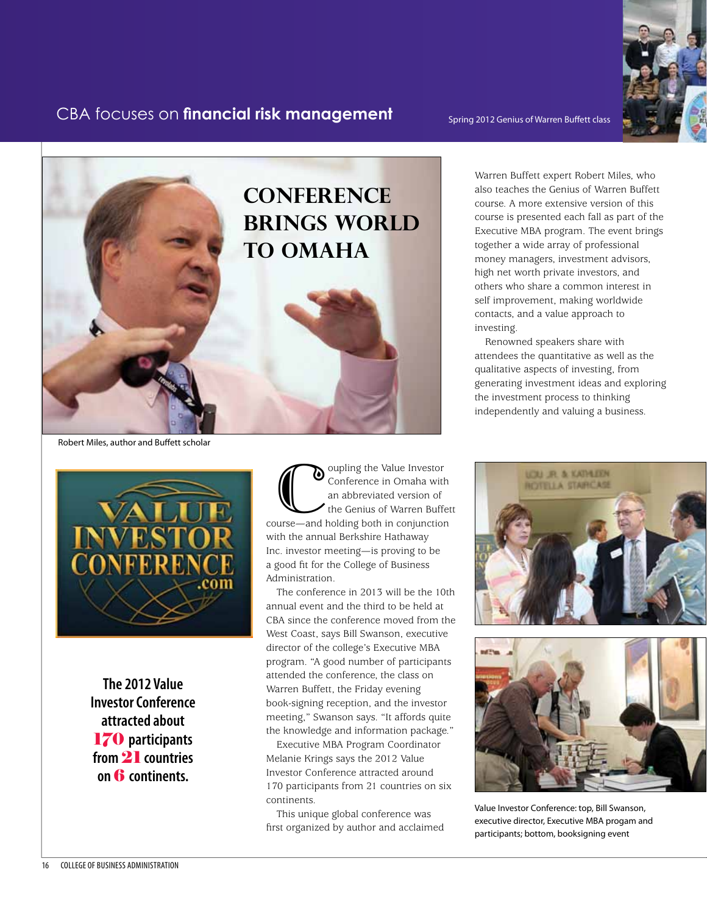## FRM **170 participants from 21 countries on six continents.** CBA focuses on **financial risk management**

Spring 2012 Genius of Warren Buffett class





Robert Miles, author and Buffett scholar



**The 2012 Value Investor Conference attracted about** 170 **participants from** 21 **countries on** 6 **continents.**

O cupling the Value Investor<br>
conference in Omaha with<br>
an abbreviated version of<br>
the Genius of Warren Buffet<br>
course—and holding both in conjunction Conference in Omaha with an abbreviated version of the Genius of Warren Buffett with the annual Berkshire Hathaway Inc. investor meeting—is proving to be a good fit for the College of Business Administration.

The conference in 2013 will be the 10th annual event and the third to be held at CBA since the conference moved from the West Coast, says Bill Swanson, executive director of the college's Executive MBA program. "A good number of participants attended the conference, the class on Warren Buffett, the Friday evening book-signing reception, and the investor meeting," Swanson says. "It affords quite the knowledge and information package."

Executive MBA Program Coordinator Melanie Krings says the 2012 Value Investor Conference attracted around 170 participants from 21 countries on six continents.

This unique global conference was first organized by author and acclaimed Warren Buffett expert Robert Miles, who also teaches the Genius of Warren Buffett course. A more extensive version of this course is presented each fall as part of the Executive MBA program. The event brings together a wide array of professional money managers, investment advisors, high net worth private investors, and others who share a common interest in self improvement, making worldwide contacts, and a value approach to investing.

Renowned speakers share with attendees the quantitative as well as the qualitative aspects of investing, from generating investment ideas and exploring the investment process to thinking independently and valuing a business.





Value Investor Conference: top, Bill Swanson, executive director, Executive MBA progam and participants; bottom, booksigning event